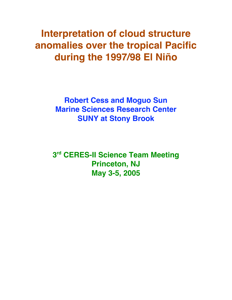## **Interpretation of cloud structure anomalies over the tropical Pacific during the 1997/98 El Niño**

**Robert Cess and Moguo Sun Marine Sciences Research Center SUNY at Stony Brook**

**3rd CERES-II Science Team Meeting Princeton, NJ May 3-5, 2005**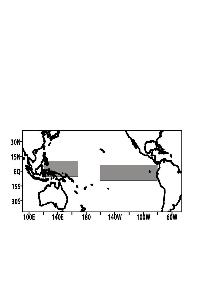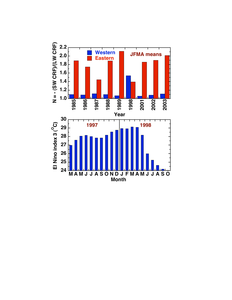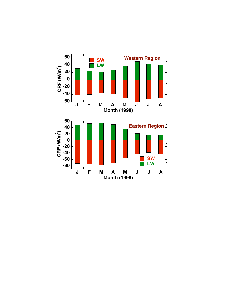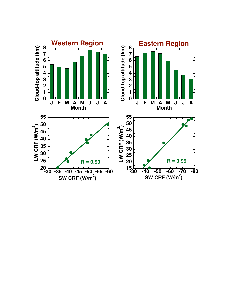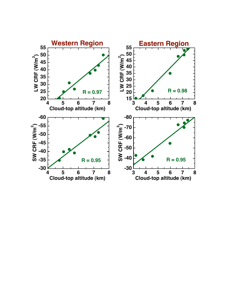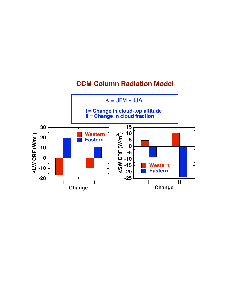## **CCM Column Radiation Model**

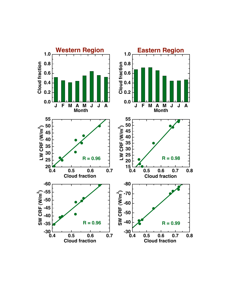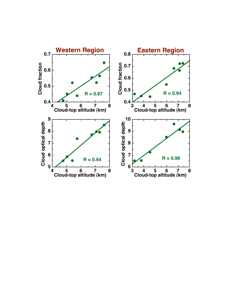